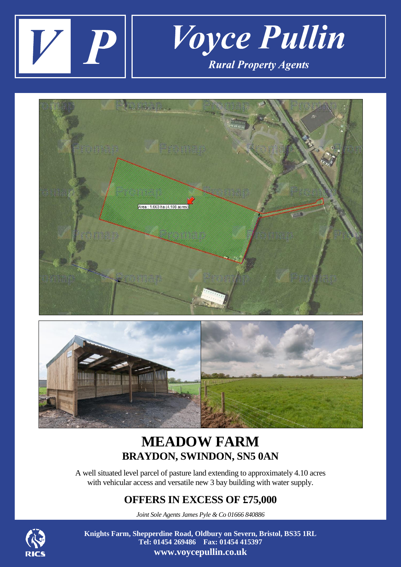





## **MEADOW FARM BRAYDON, SWINDON, SN5 0AN**

A well situated level parcel of pasture land extending to approximately 4.10 acres with vehicular access and versatile new 3 bay building with water supply.

## **OFFERS IN EXCESS OF £75,000**

*Joint Sole Agents James Pyle & Co 01666 840886*



**Knights Farm, Shepperdine Road, Oldbury on Severn, Bristol, BS35 1RL Tel: 01454 269486 Fax: 01454 415397 www.voycepullin.co.uk**